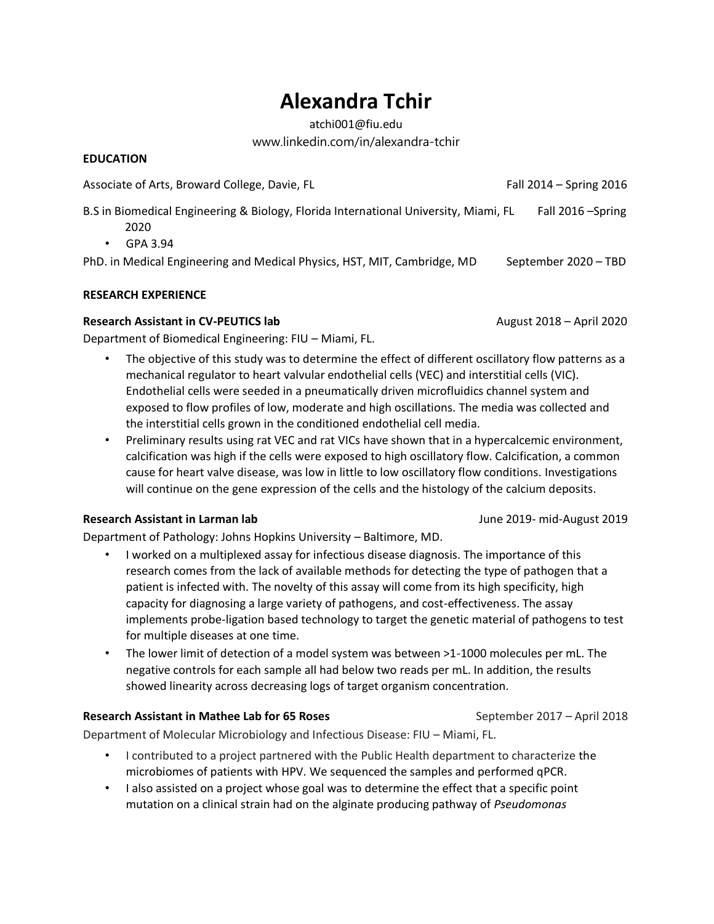# **Alexandra Tchir**

atchi001@fiu.edu www.linkedin.com/in/alexandra-tchir

#### **EDUCATION**

Associate of Arts, Broward College, Davie, FL Fall 2014 – Spring 2016

B.S in Biomedical Engineering & Biology, Florida International University, Miami, FL Fall 2016 -Spring

- 2020
- GPA 3.94

PhD. in Medical Engineering and Medical Physics, HST, MIT, Cambridge, MD September 2020 – TBD

# **RESEARCH EXPERIENCE**

# **Research Assistant in CV-PEUTICS lab** August 2018 – April 2020

Department of Biomedical Engineering: FIU – Miami, FL.

- The objective of this study was to determine the effect of different oscillatory flow patterns as a mechanical regulator to heart valvular endothelial cells (VEC) and interstitial cells (VIC). Endothelial cells were seeded in a pneumatically driven microfluidics channel system and exposed to flow profiles of low, moderate and high oscillations. The media was collected and the interstitial cells grown in the conditioned endothelial cell media.
- Preliminary results using rat VEC and rat VICs have shown that in a hypercalcemic environment, calcification was high if the cells were exposed to high oscillatory flow. Calcification, a common cause for heart valve disease, was low in little to low oscillatory flow conditions. Investigations will continue on the gene expression of the cells and the histology of the calcium deposits.

# **Research Assistant in Larman lab** June 2019- mid-August 2019

Department of Pathology: Johns Hopkins University – Baltimore, MD.

- I worked on a multiplexed assay for infectious disease diagnosis. The importance of this research comes from the lack of available methods for detecting the type of pathogen that a patient is infected with. The novelty of this assay will come from its high specificity, high capacity for diagnosing a large variety of pathogens, and cost-effectiveness. The assay implements probe-ligation based technology to target the genetic material of pathogens to test for multiple diseases at one time.
- The lower limit of detection of a model system was between >1-1000 molecules per mL. The negative controls for each sample all had below two reads per mL. In addition, the results showed linearity across decreasing logs of target organism concentration.

# **Research Assistant in Mathee Lab for 65 Roses** September 2017 – April 2018

Department of Molecular Microbiology and Infectious Disease: FIU – Miami, FL.

- I contributed to a project partnered with the Public Health department to characterize the microbiomes of patients with HPV. We sequenced the samples and performed qPCR.
- I also assisted on a project whose goal was to determine the effect that a specific point mutation on a clinical strain had on the alginate producing pathway of *Pseudomonas*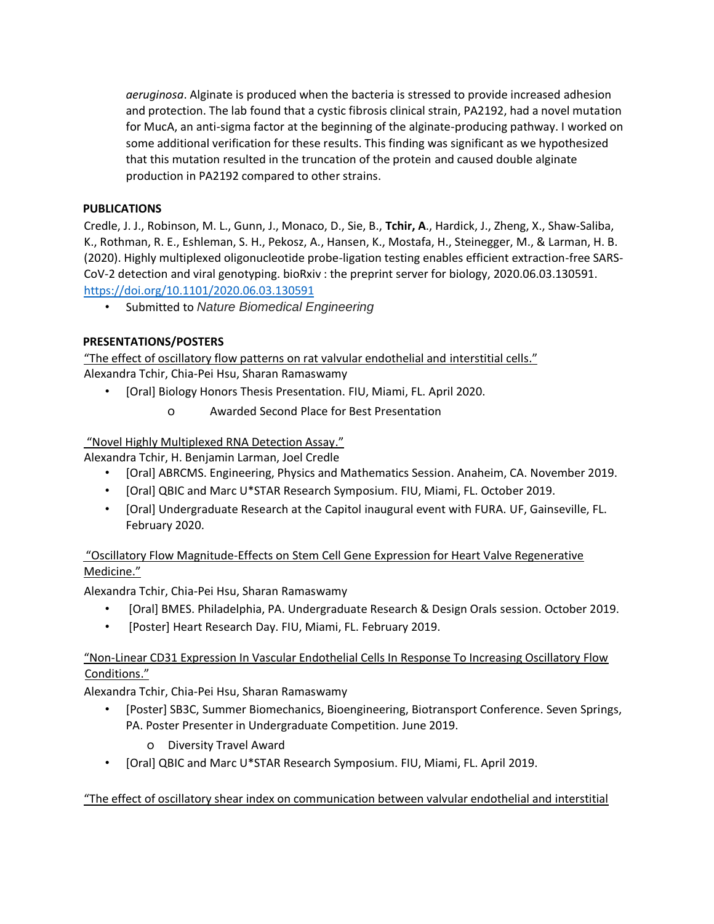*aeruginosa*. Alginate is produced when the bacteria is stressed to provide increased adhesion and protection. The lab found that a cystic fibrosis clinical strain, PA2192, had a novel mutation for MucA, an anti-sigma factor at the beginning of the alginate-producing pathway. I worked on some additional verification for these results. This finding was significant as we hypothesized that this mutation resulted in the truncation of the protein and caused double alginate production in PA2192 compared to other strains.

#### **PUBLICATIONS**

Credle, J. J., Robinson, M. L., Gunn, J., Monaco, D., Sie, B., **Tchir, A**., Hardick, J., Zheng, X., Shaw-Saliba, K., Rothman, R. E., Eshleman, S. H., Pekosz, A., Hansen, K., Mostafa, H., Steinegger, M., & Larman, H. B. (2020). Highly multiplexed oligonucleotide probe-ligation testing enables efficient extraction-free SARS-CoV-2 detection and viral genotyping. bioRxiv : the preprint server for biology, 2020.06.03.130591. <https://doi.org/10.1101/2020.06.03.130591>

• Submitted to *Nature Biomedical Engineering*

### **PRESENTATIONS/POSTERS**

"The effect of oscillatory flow patterns on rat valvular endothelial and interstitial cells." Alexandra Tchir, Chia-Pei Hsu, Sharan Ramaswamy

- [Oral] Biology Honors Thesis Presentation. FIU, Miami, FL. April 2020.
	- o Awarded Second Place for Best Presentation

"Novel Highly Multiplexed RNA Detection Assay."

Alexandra Tchir, H. Benjamin Larman, Joel Credle

- [Oral] ABRCMS. Engineering, Physics and Mathematics Session. Anaheim, CA. November 2019.
- [Oral] QBIC and Marc U\*STAR Research Symposium. FIU, Miami, FL. October 2019.
- [Oral] Undergraduate Research at the Capitol inaugural event with FURA. UF, Gainseville, FL. February 2020.

# "Oscillatory Flow Magnitude-Effects on Stem Cell Gene Expression for Heart Valve Regenerative Medicine."

Alexandra Tchir, Chia-Pei Hsu, Sharan Ramaswamy

- [Oral] BMES. Philadelphia, PA. Undergraduate Research & Design Orals session. October 2019.
- [Poster] Heart Research Day. FIU, Miami, FL. February 2019.

# "Non-Linear CD31 Expression In Vascular Endothelial Cells In Response To Increasing Oscillatory Flow Conditions."

Alexandra Tchir, Chia-Pei Hsu, Sharan Ramaswamy

- [Poster] SB3C, Summer Biomechanics, Bioengineering, Biotransport Conference. Seven Springs, PA. Poster Presenter in Undergraduate Competition. June 2019.
	- o Diversity Travel Award
- [Oral] QBIC and Marc U\*STAR Research Symposium. FIU, Miami, FL. April 2019.

"The effect of oscillatory shear index on communication between valvular endothelial and interstitial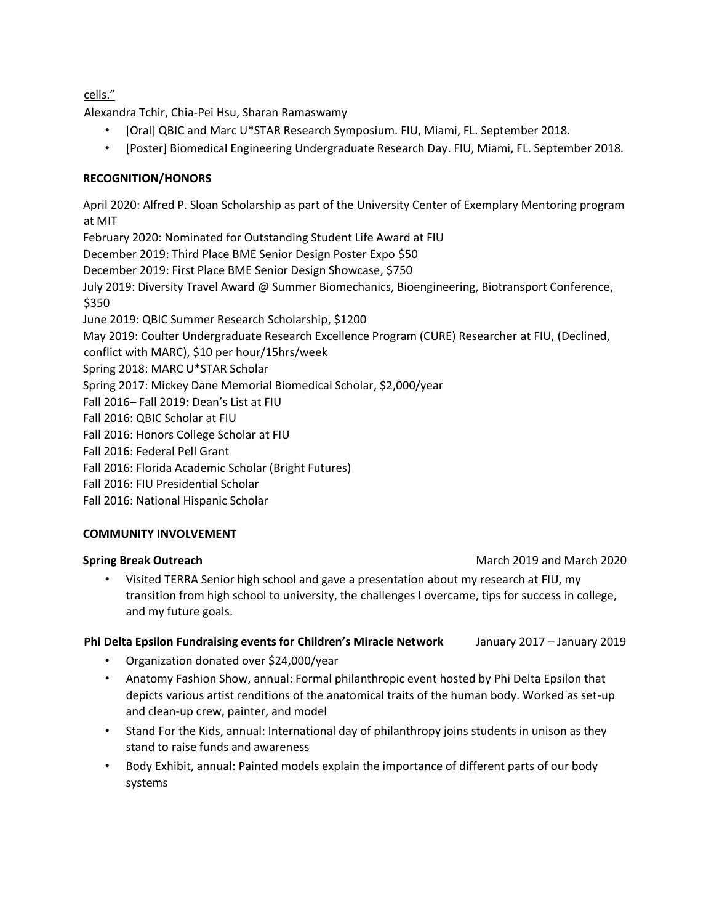cells."

Alexandra Tchir, Chia-Pei Hsu, Sharan Ramaswamy

- [Oral] QBIC and Marc U\*STAR Research Symposium. FIU, Miami, FL. September 2018.
- [Poster] Biomedical Engineering Undergraduate Research Day. FIU, Miami, FL. September 2018*.*

### **RECOGNITION/HONORS**

April 2020: Alfred P. Sloan Scholarship as part of the University Center of Exemplary Mentoring program at MIT

February 2020: Nominated for Outstanding Student Life Award at FIU

December 2019: Third Place BME Senior Design Poster Expo \$50

December 2019: First Place BME Senior Design Showcase, \$750

July 2019: Diversity Travel Award @ Summer Biomechanics, Bioengineering, Biotransport Conference, \$350

June 2019: QBIC Summer Research Scholarship, \$1200

May 2019: Coulter Undergraduate Research Excellence Program (CURE) Researcher at FIU, (Declined,

conflict with MARC), \$10 per hour/15hrs/week

Spring 2018: MARC U\*STAR Scholar

Spring 2017: Mickey Dane Memorial Biomedical Scholar, \$2,000/year

Fall 2016– Fall 2019: Dean's List at FIU

Fall 2016: QBIC Scholar at FIU

Fall 2016: Honors College Scholar at FIU

Fall 2016: Federal Pell Grant

Fall 2016: Florida Academic Scholar (Bright Futures)

Fall 2016: FIU Presidential Scholar

Fall 2016: National Hispanic Scholar

### **COMMUNITY INVOLVEMENT**

• Visited TERRA Senior high school and gave a presentation about my research at FIU, my transition from high school to university, the challenges I overcame, tips for success in college, and my future goals.

#### **Phi Delta Epsilon Fundraising events for Children's Miracle Network** January 2017 – January 2019

- Organization donated over \$24,000/year
- Anatomy Fashion Show, annual: Formal philanthropic event hosted by Phi Delta Epsilon that depicts various artist renditions of the anatomical traits of the human body. Worked as set-up and clean-up crew, painter, and model
- Stand For the Kids, annual: International day of philanthropy joins students in unison as they stand to raise funds and awareness
- Body Exhibit, annual: Painted models explain the importance of different parts of our body systems

### **Spring Break Outreach March 2020 March 2019** and March 2020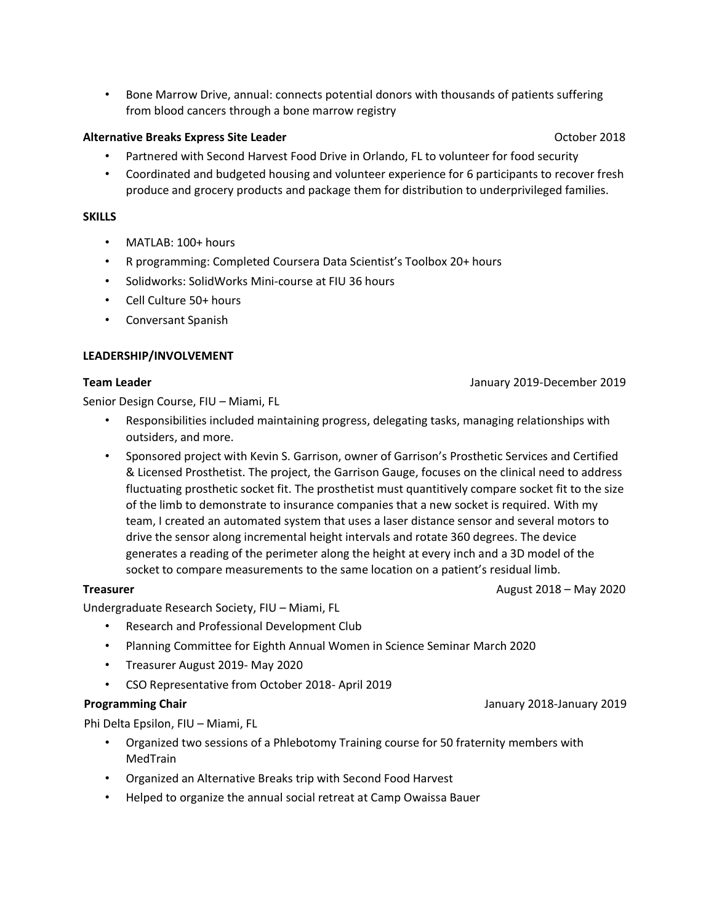• Bone Marrow Drive, annual: connects potential donors with thousands of patients suffering from blood cancers through a bone marrow registry

#### **Alternative Breaks Express Site Leader Contract Contract Contract Contract Contract Contract Contract Contract Contract Contract Contract Contract Contract Contract Contract Contract Contract Contract Contract Contract**

- Partnered with Second Harvest Food Drive in Orlando, FL to volunteer for food security
- Coordinated and budgeted housing and volunteer experience for 6 participants to recover fresh produce and grocery products and package them for distribution to underprivileged families.

#### **SKILLS**

- MATLAB: 100+ hours
- R programming: Completed Coursera Data Scientist's Toolbox 20+ hours
- Solidworks: SolidWorks Mini-course at FIU 36 hours
- Cell Culture 50+ hours
- Conversant Spanish

#### **LEADERSHIP/INVOLVEMENT**

#### **Team Leader** January 2019-December 2019

Senior Design Course, FIU – Miami, FL

- Responsibilities included maintaining progress, delegating tasks, managing relationships with outsiders, and more.
- Sponsored project with Kevin S. Garrison, owner of Garrison's Prosthetic Services and Certified & Licensed Prosthetist. The project, the Garrison Gauge, focuses on the clinical need to address fluctuating prosthetic socket fit. The prosthetist must quantitively compare socket fit to the size of the limb to demonstrate to insurance companies that a new socket is required. With my team, I created an automated system that uses a laser distance sensor and several motors to drive the sensor along incremental height intervals and rotate 360 degrees. The device generates a reading of the perimeter along the height at every inch and a 3D model of the socket to compare measurements to the same location on a patient's residual limb.

**Treasurer August 2018** – May 2020

Undergraduate Research Society, FIU – Miami, FL

- Research and Professional Development Club
- Planning Committee for Eighth Annual Women in Science Seminar March 2020
- Treasurer August 2019- May 2020
- CSO Representative from October 2018- April 2019

Phi Delta Epsilon, FIU – Miami, FL

- Organized two sessions of a Phlebotomy Training course for 50 fraternity members with MedTrain
- Organized an Alternative Breaks trip with Second Food Harvest
- Helped to organize the annual social retreat at Camp Owaissa Bauer

**Programming Chair Chair Chair Chair Chair Chair Chair Chair Chair Chair Chair Chair Chair Chair Chair Chair Chair Chair Chair Chair Chair Chair Chair Chair Chair Chair C**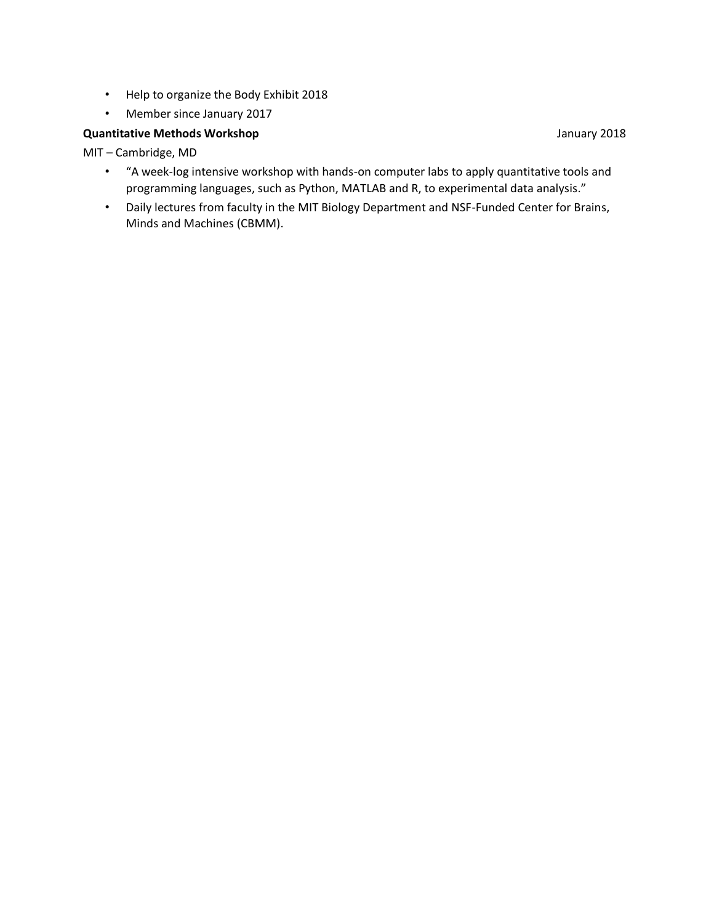- Help to organize the Body Exhibit 2018
- Member since January 2017

#### **Quantitative Methods Workshop January 2018**

MIT – Cambridge, MD

- "A week-log intensive workshop with hands-on computer labs to apply quantitative tools and programming languages, such as Python, MATLAB and R, to experimental data analysis."
- Daily lectures from faculty in the MIT Biology Department and NSF-Funded Center for Brains, Minds and Machines (CBMM).